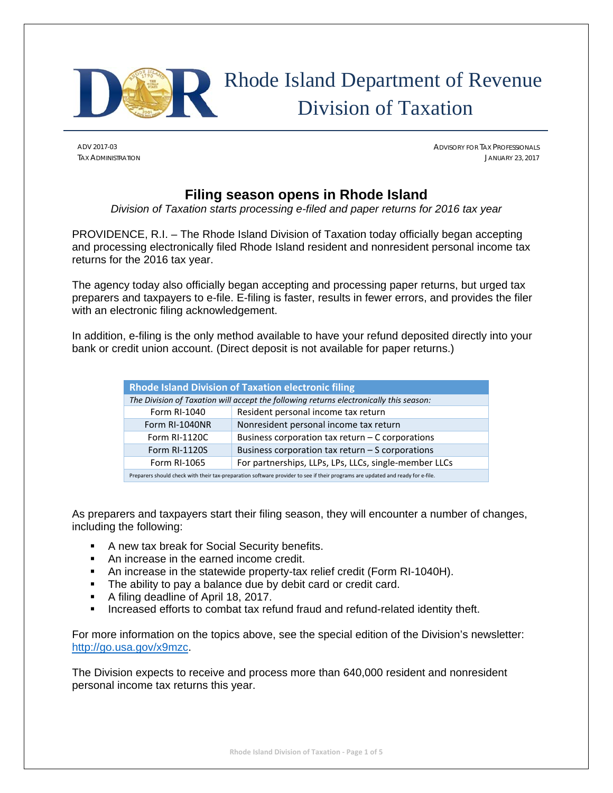

# Rhode Island Department of Revenue Division of Taxation

ADV 2017-03 ADVISORY FOR TAX PROFESSIONALS TAX ADMINISTRATION JANUARY 23, 2017

# **Filing season opens in Rhode Island**

*Division of Taxation starts processing e-filed and paper returns for 2016 tax year* 

PROVIDENCE, R.I. – The Rhode Island Division of Taxation today officially began accepting and processing electronically filed Rhode Island resident and nonresident personal income tax returns for the 2016 tax year.

The agency today also officially began accepting and processing paper returns, but urged tax preparers and taxpayers to e-file. E-filing is faster, results in fewer errors, and provides the filer with an electronic filing acknowledgement.

In addition, e-filing is the only method available to have your refund deposited directly into your bank or credit union account. (Direct deposit is not available for paper returns.)

| <b>Rhode Island Division of Taxation electronic filing</b>                                                                     |                                                       |  |  |
|--------------------------------------------------------------------------------------------------------------------------------|-------------------------------------------------------|--|--|
| The Division of Taxation will accept the following returns electronically this season:                                         |                                                       |  |  |
| Form RI-1040                                                                                                                   | Resident personal income tax return                   |  |  |
| Form RI-1040NR                                                                                                                 | Nonresident personal income tax return                |  |  |
| Form RI-1120C                                                                                                                  | Business corporation tax return $-$ C corporations    |  |  |
| <b>Form RI-1120S</b>                                                                                                           | Business corporation tax return $-$ S corporations    |  |  |
| Form RI-1065                                                                                                                   | For partnerships, LLPs, LPs, LLCs, single-member LLCs |  |  |
| Preparers should check with their tax-preparation software provider to see if their programs are updated and ready for e-file. |                                                       |  |  |

As preparers and taxpayers start their filing season, they will encounter a number of changes, including the following:

- **A new tax break for Social Security benefits.**
- An increase in the earned income credit.
- An increase in the statewide property-tax relief credit (Form RI-1040H).
- The ability to pay a balance due by debit card or credit card.
- A filing deadline of April 18, 2017.
- **Increased efforts to combat tax refund fraud and refund-related identity theft.**

For more information on the topics above, see the special edition of the Division's newsletter: http://go.usa.gov/x9mzc.

The Division expects to receive and process more than 640,000 resident and nonresident personal income tax returns this year.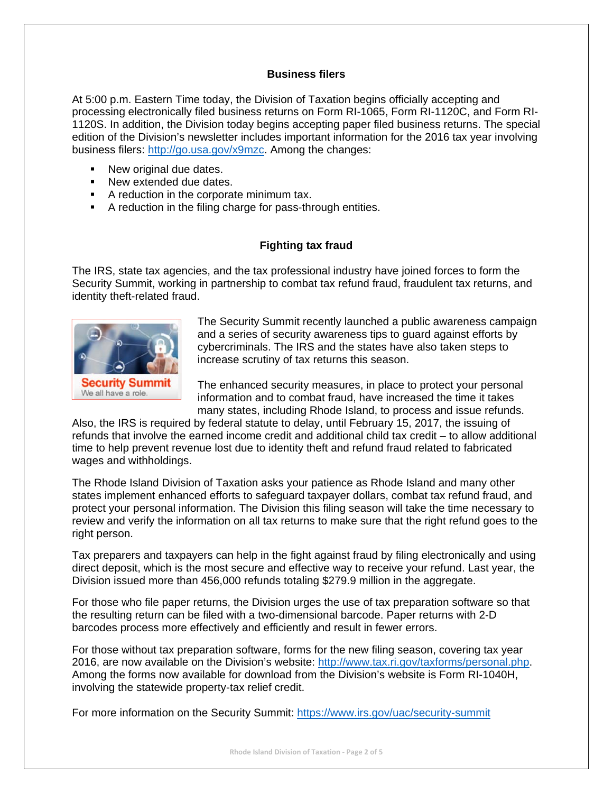## **Business filers**

At 5:00 p.m. Eastern Time today, the Division of Taxation begins officially accepting and processing electronically filed business returns on Form RI-1065, Form RI-1120C, and Form RI-1120S. In addition, the Division today begins accepting paper filed business returns. The special edition of the Division's newsletter includes important information for the 2016 tax year involving business filers: http://go.usa.gov/x9mzc. Among the changes:

- New original due dates.
- New extended due dates.
- A reduction in the corporate minimum tax.
- A reduction in the filing charge for pass-through entities.

# **Fighting tax fraud**

The IRS, state tax agencies, and the tax professional industry have joined forces to form the Security Summit, working in partnership to combat tax refund fraud, fraudulent tax returns, and identity theft-related fraud.



The Security Summit recently launched a public awareness campaign and a series of security awareness tips to guard against efforts by cybercriminals. The IRS and the states have also taken steps to increase scrutiny of tax returns this season.

The enhanced security measures, in place to protect your personal information and to combat fraud, have increased the time it takes many states, including Rhode Island, to process and issue refunds.

Also, the IRS is required by federal statute to delay, until February 15, 2017, the issuing of refunds that involve the earned income credit and additional child tax credit – to allow additional time to help prevent revenue lost due to identity theft and refund fraud related to fabricated wages and withholdings.

The Rhode Island Division of Taxation asks your patience as Rhode Island and many other states implement enhanced efforts to safeguard taxpayer dollars, combat tax refund fraud, and protect your personal information. The Division this filing season will take the time necessary to review and verify the information on all tax returns to make sure that the right refund goes to the right person.

Tax preparers and taxpayers can help in the fight against fraud by filing electronically and using direct deposit, which is the most secure and effective way to receive your refund. Last year, the Division issued more than 456,000 refunds totaling \$279.9 million in the aggregate.

For those who file paper returns, the Division urges the use of tax preparation software so that the resulting return can be filed with a two-dimensional barcode. Paper returns with 2-D barcodes process more effectively and efficiently and result in fewer errors.

For those without tax preparation software, forms for the new filing season, covering tax year 2016, are now available on the Division's website: http://www.tax.ri.gov/taxforms/personal.php. Among the forms now available for download from the Division's website is Form RI-1040H, involving the statewide property-tax relief credit.

For more information on the Security Summit: https://www.irs.gov/uac/security-summit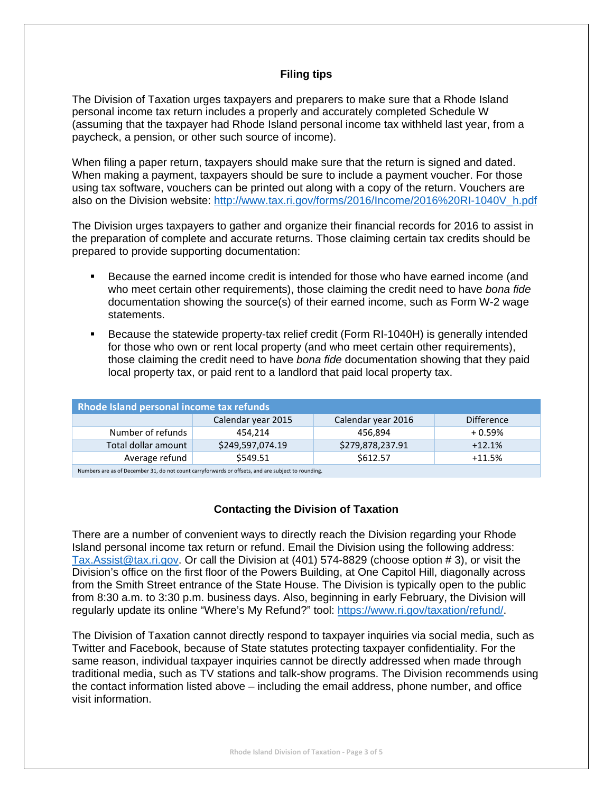# **Filing tips**

The Division of Taxation urges taxpayers and preparers to make sure that a Rhode Island personal income tax return includes a properly and accurately completed Schedule W (assuming that the taxpayer had Rhode Island personal income tax withheld last year, from a paycheck, a pension, or other such source of income).

When filing a paper return, taxpayers should make sure that the return is signed and dated. When making a payment, taxpayers should be sure to include a payment voucher. For those using tax software, vouchers can be printed out along with a copy of the return. Vouchers are also on the Division website: http://www.tax.ri.gov/forms/2016/Income/2016%20RI-1040V\_h.pdf

The Division urges taxpayers to gather and organize their financial records for 2016 to assist in the preparation of complete and accurate returns. Those claiming certain tax credits should be prepared to provide supporting documentation:

- Because the earned income credit is intended for those who have earned income (and who meet certain other requirements), those claiming the credit need to have *bona fide*  documentation showing the source(s) of their earned income, such as Form W-2 wage statements.
- Because the statewide property-tax relief credit (Form RI-1040H) is generally intended for those who own or rent local property (and who meet certain other requirements), those claiming the credit need to have *bona fide* documentation showing that they paid local property tax, or paid rent to a landlord that paid local property tax.

| <b>Rhode Island personal income tax refunds</b>                                                    |                    |                    |                   |  |
|----------------------------------------------------------------------------------------------------|--------------------|--------------------|-------------------|--|
|                                                                                                    | Calendar year 2015 | Calendar year 2016 | <b>Difference</b> |  |
| Number of refunds                                                                                  | 454.214            | 456.894            | $+0.59%$          |  |
| Total dollar amount                                                                                | \$249,597,074.19   | \$279,878,237.91   | $+12.1%$          |  |
| Average refund                                                                                     | \$549.51           | \$612.57           | $+11.5%$          |  |
| Numbers are as of December 31, do not count carryforwards or offsets, and are subject to rounding. |                    |                    |                   |  |

# **Contacting the Division of Taxation**

There are a number of convenient ways to directly reach the Division regarding your Rhode Island personal income tax return or refund. Email the Division using the following address: Tax.Assist@tax.ri.gov. Or call the Division at (401) 574-8829 (choose option # 3), or visit the Division's office on the first floor of the Powers Building, at One Capitol Hill, diagonally across from the Smith Street entrance of the State House. The Division is typically open to the public from 8:30 a.m. to 3:30 p.m. business days. Also, beginning in early February, the Division will regularly update its online "Where's My Refund?" tool: https://www.ri.gov/taxation/refund/.

The Division of Taxation cannot directly respond to taxpayer inquiries via social media, such as Twitter and Facebook, because of State statutes protecting taxpayer confidentiality. For the same reason, individual taxpayer inquiries cannot be directly addressed when made through traditional media, such as TV stations and talk-show programs. The Division recommends using the contact information listed above – including the email address, phone number, and office visit information.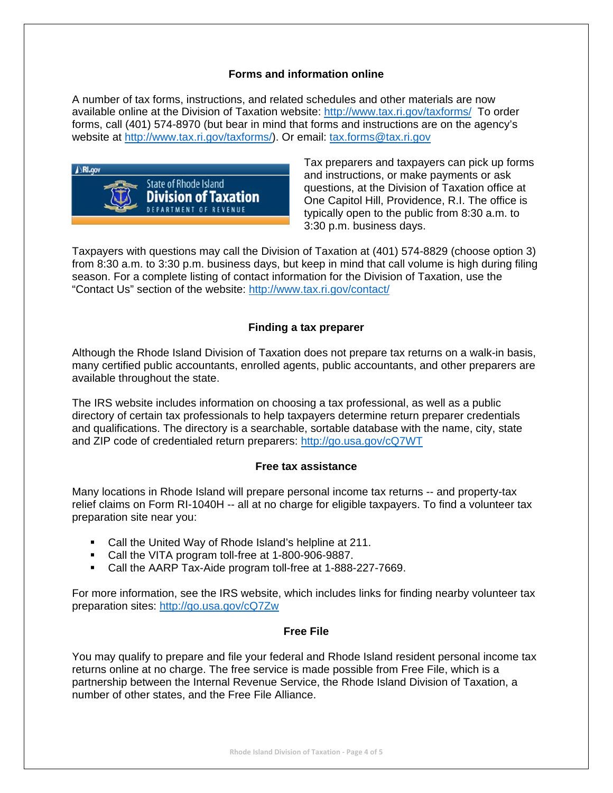# **Forms and information online**

A number of tax forms, instructions, and related schedules and other materials are now available online at the Division of Taxation website: http://www.tax.ri.gov/taxforms/ To order forms, call (401) 574-8970 (but bear in mind that forms and instructions are on the agency's website at http://www.tax.ri.gov/taxforms/). Or email: tax.forms@tax.ri.gov



Tax preparers and taxpayers can pick up forms and instructions, or make payments or ask questions, at the Division of Taxation office at One Capitol Hill, Providence, R.I. The office is typically open to the public from 8:30 a.m. to 3:30 p.m. business days.

Taxpayers with questions may call the Division of Taxation at (401) 574-8829 (choose option 3) from 8:30 a.m. to 3:30 p.m. business days, but keep in mind that call volume is high during filing season. For a complete listing of contact information for the Division of Taxation, use the "Contact Us" section of the website: http://www.tax.ri.gov/contact/

# **Finding a tax preparer**

Although the Rhode Island Division of Taxation does not prepare tax returns on a walk-in basis, many certified public accountants, enrolled agents, public accountants, and other preparers are available throughout the state.

The IRS website includes information on choosing a tax professional, as well as a public directory of certain tax professionals to help taxpayers determine return preparer credentials and qualifications. The directory is a searchable, sortable database with the name, city, state and ZIP code of credentialed return preparers: http://go.usa.gov/cQ7WT

#### **Free tax assistance**

Many locations in Rhode Island will prepare personal income tax returns -- and property-tax relief claims on Form RI-1040H -- all at no charge for eligible taxpayers. To find a volunteer tax preparation site near you:

- Call the United Way of Rhode Island's helpline at 211.
- Call the VITA program toll-free at 1-800-906-9887.
- Call the AARP Tax-Aide program toll-free at 1-888-227-7669.

For more information, see the IRS website, which includes links for finding nearby volunteer tax preparation sites: http://go.usa.gov/cQ7Zw

#### **Free File**

You may qualify to prepare and file your federal and Rhode Island resident personal income tax returns online at no charge. The free service is made possible from Free File, which is a partnership between the Internal Revenue Service, the Rhode Island Division of Taxation, a number of other states, and the Free File Alliance.